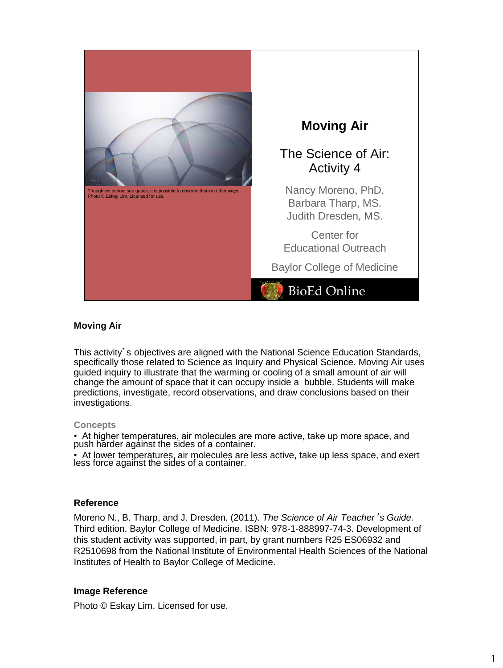

#### **Moving Air**

This activity's objectives are aligned with the National Science Education Standards, specifically those related to Science as Inquiry and Physical Science. Moving Air uses guided inquiry to illustrate that the warming or cooling of a small amount of air will change the amount of space that it can occupy inside a bubble. Students will make predictions, investigate, record observations, and draw conclusions based on their investigations.

#### **Concepts**

• At higher temperatures, air molecules are more active, take up more space, and push hărder against the sides of a container.

• At lower temperatures, air molecules are less active, take up less space, and exert less force against the sides of a container.

#### **Reference**

Moreno N., B. Tharp, and J. Dresden. (2011). *The Science of Air Teacher*'*s Guide.* Third edition. Baylor College of Medicine. ISBN: 978-1-888997-74-3. Development of this student activity was supported, in part, by grant numbers R25 ES06932 and R2510698 from the National Institute of Environmental Health Sciences of the National Institutes of Health to Baylor College of Medicine.

#### **Image Reference**

Photo © Eskay Lim. Licensed for use.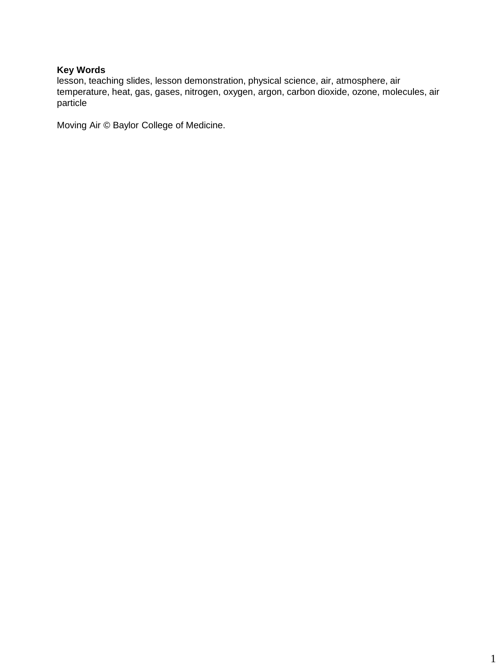# **Key Words**

lesson, teaching slides, lesson demonstration, physical science, air, atmosphere, air temperature, heat, gas, gases, nitrogen, oxygen, argon, carbon dioxide, ozone, molecules, air particle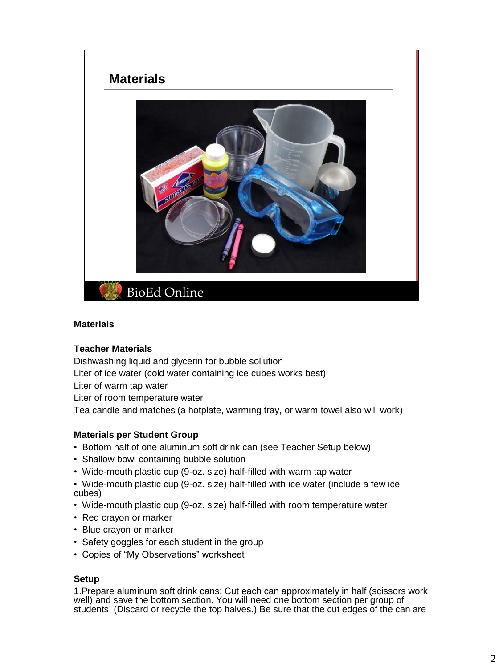

#### **Materials**

#### **Teacher Materials**

Dishwashing liquid and glycerin for bubble sollution

Liter of ice water (cold water containing ice cubes works best)

Liter of warm tap water

Liter of room temperature water

Tea candle and matches (a hotplate, warming tray, or warm towel also will work)

# **Materials per Student Group**

- Bottom half of one aluminum soft drink can (see Teacher Setup below)
- Shallow bowl containing bubble solution
- Wide-mouth plastic cup (9-oz. size) half-filled with warm tap water
- Wide-mouth plastic cup (9-oz. size) half-filled with ice water (include a few ice cubes)
- Wide-mouth plastic cup (9-oz. size) half-filled with room temperature water
- Red crayon or marker
- Blue crayon or marker
- Safety goggles for each student in the group
- Copies of "My Observations" worksheet

# **Setup**

1.Prepare aluminum soft drink cans: Cut each can approximately in half (scissors work well) and save the bottom section. You will need one bottom section per group of students. (Discard or recycle the top halves.) Be sure that the cut edges of the can are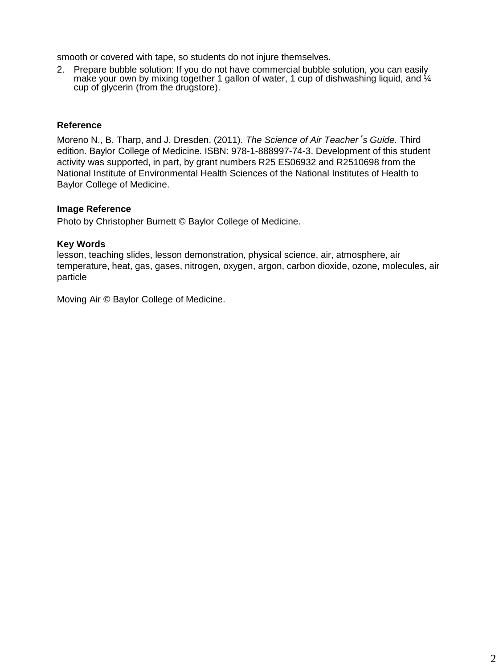smooth or covered with tape, so students do not injure themselves.

2. Prepare bubble solution: If you do not have commercial bubble solution, you can easily make your own by mixing together 1 gallon of water, 1 cup of dishwashing liquid, and  $\mathcal{U}_4$ cup of glycerin (from the drugstore).

# **Reference**

Moreno N., B. Tharp, and J. Dresden. (2011). *The Science of Air Teacher*'*s Guide.* Third edition. Baylor College of Medicine. ISBN: 978-1-888997-74-3. Development of this student activity was supported, in part, by grant numbers R25 ES06932 and R2510698 from the National Institute of Environmental Health Sciences of the National Institutes of Health to Baylor College of Medicine.

# **Image Reference**

Photo by Christopher Burnett © Baylor College of Medicine.

# **Key Words**

lesson, teaching slides, lesson demonstration, physical science, air, atmosphere, air temperature, heat, gas, gases, nitrogen, oxygen, argon, carbon dioxide, ozone, molecules, air particle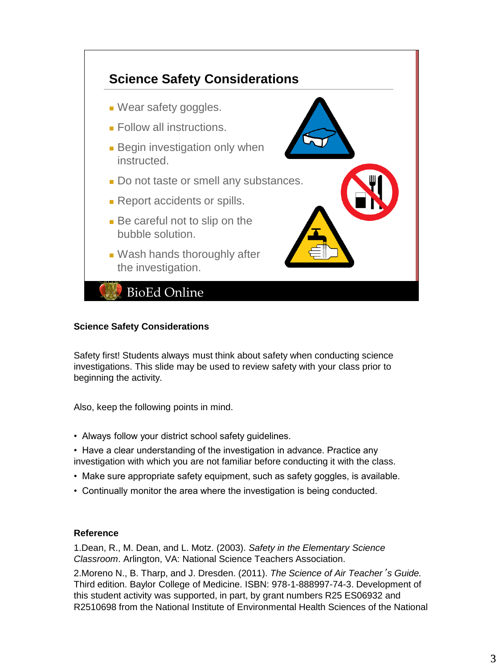

# **Science Safety Considerations**

Safety first! Students always must think about safety when conducting science investigations. This slide may be used to review safety with your class prior to beginning the activity.

Also, keep the following points in mind.

- Always follow your district school safety guidelines.
- Have a clear understanding of the investigation in advance. Practice any investigation with which you are not familiar before conducting it with the class.
- Make sure appropriate safety equipment, such as safety goggles, is available.
- Continually monitor the area where the investigation is being conducted.

#### **Reference**

1.Dean, R., M. Dean, and L. Motz. (2003). *Safety in the Elementary Science Classroom*. Arlington, VA: National Science Teachers Association.

2.Moreno N., B. Tharp, and J. Dresden. (2011). *The Science of Air Teacher*'*s Guide.* Third edition. Baylor College of Medicine. ISBN: 978-1-888997-74-3. Development of this student activity was supported, in part, by grant numbers R25 ES06932 and R2510698 from the National Institute of Environmental Health Sciences of the National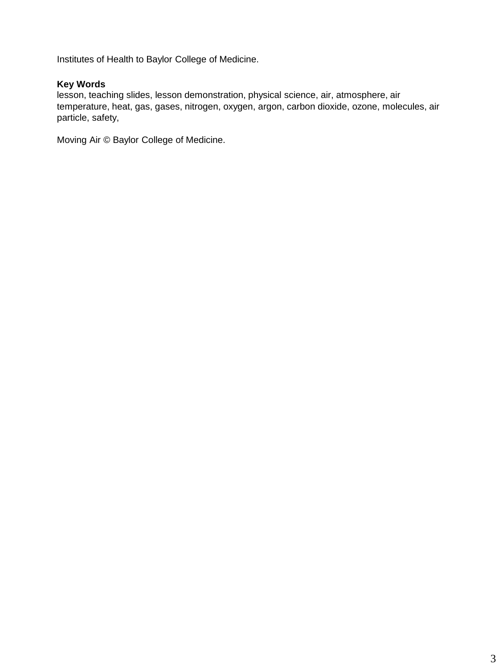Institutes of Health to Baylor College of Medicine.

# **Key Words**

lesson, teaching slides, lesson demonstration, physical science, air, atmosphere, air temperature, heat, gas, gases, nitrogen, oxygen, argon, carbon dioxide, ozone, molecules, air particle, safety,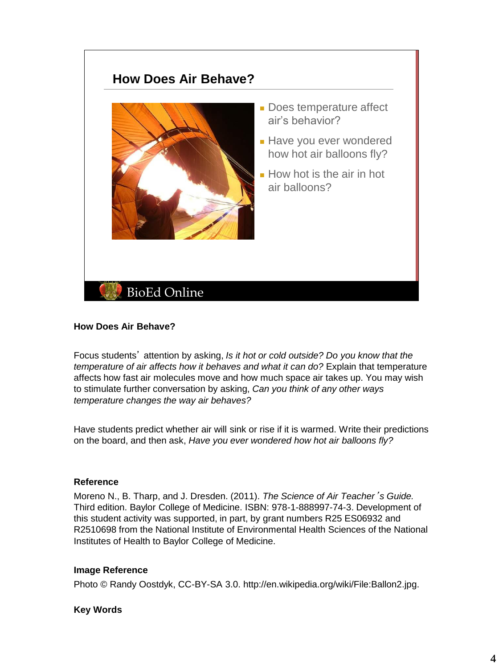# **How Does Air Behave?**



- Does temperature affect air's behavior?
- Have you ever wondered how hot air balloons fly?
- How hot is the air in hot air balloons?

# **How Does Air Behave?**

Focus students' attention by asking, *Is it hot or cold outside? Do you know that the temperature of air affects how it behaves and what it can do?* Explain that temperature affects how fast air molecules move and how much space air takes up. You may wish to stimulate further conversation by asking, *Can you think of any other ways temperature changes the way air behaves?*

Have students predict whether air will sink or rise if it is warmed. Write their predictions on the board, and then ask, *Have you ever wondered how hot air balloons fly?*

#### **Reference**

Moreno N., B. Tharp, and J. Dresden. (2011). *The Science of Air Teacher*'*s Guide.* Third edition. Baylor College of Medicine. ISBN: 978-1-888997-74-3. Development of this student activity was supported, in part, by grant numbers R25 ES06932 and R2510698 from the National Institute of Environmental Health Sciences of the National Institutes of Health to Baylor College of Medicine.

#### **Image Reference**

Photo © Randy Oostdyk, CC-BY-SA 3.0. http://en.wikipedia.org/wiki/File:Ballon2.jpg.

# **Key Words**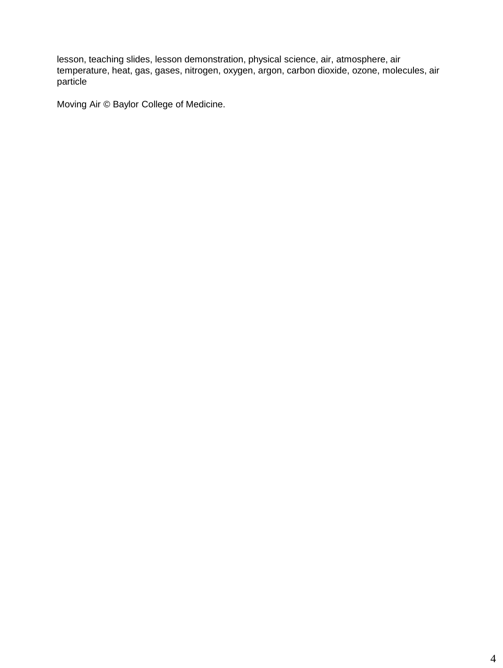lesson, teaching slides, lesson demonstration, physical science, air, atmosphere, air temperature, heat, gas, gases, nitrogen, oxygen, argon, carbon dioxide, ozone, molecules, air particle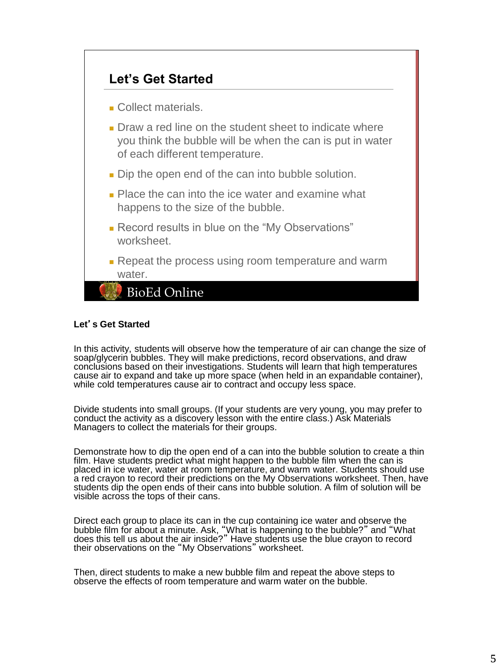

# **Let**'**s Get Started**

In this activity, students will observe how the temperature of air can change the size of soap/glycerin bubbles. They will make predictions, record observations, and draw conclusions based on their investigations. Students will learn that high temperatures cause air to expand and take up more space (when held in an expandable container), while cold temperatures cause air to contract and occupy less space.

Divide students into small groups. (If your students are very young, you may prefer to conduct the activity as a discovery lesson with the entire class.) Ask Materials Managers to collect the materials for their groups.

Demonstrate how to dip the open end of a can into the bubble solution to create a thin film. Have students predict what might happen to the bubble film when the can is placed in ice water, water at room temperature, and warm water. Students should use a red crayon to record their predictions on the My Observations worksheet. Then, have students dip the open ends of their cans into bubble solution. A film of solution will be visible across the tops of their cans.

Direct each group to place its can in the cup containing ice water and observe the bubble film for about a minute. Ask, "What is happening to the bubble?" and "What does this tell us about the air inside?" Have students use the blue crayon to record their observations on the "My Observations" worksheet.

Then, direct students to make a new bubble film and repeat the above steps to observe the effects of room temperature and warm water on the bubble.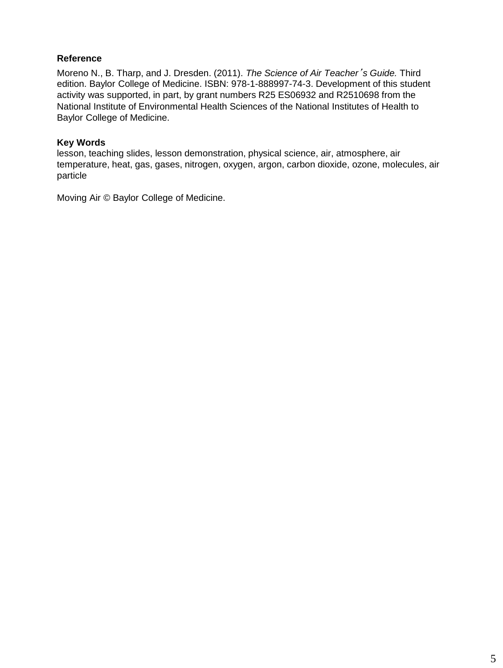Moreno N., B. Tharp, and J. Dresden. (2011). *The Science of Air Teacher*'*s Guide.* Third edition. Baylor College of Medicine. ISBN: 978-1-888997-74-3. Development of this student activity was supported, in part, by grant numbers R25 ES06932 and R2510698 from the National Institute of Environmental Health Sciences of the National Institutes of Health to Baylor College of Medicine.

# **Key Words**

lesson, teaching slides, lesson demonstration, physical science, air, atmosphere, air temperature, heat, gas, gases, nitrogen, oxygen, argon, carbon dioxide, ozone, molecules, air particle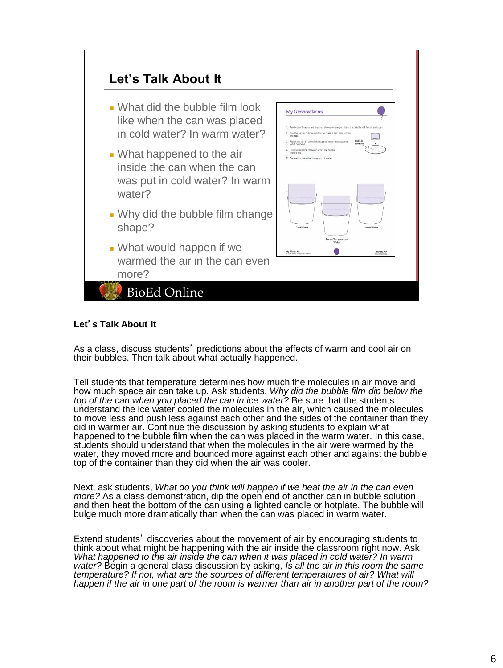

# **Let**'**s Talk About It**

As a class, discuss students' predictions about the effects of warm and cool air on their bubbles. Then talk about what actually happened.

Tell students that temperature determines how much the molecules in air move and how much space air can take up. Ask students, *Why did the bubble film dip below the top of the can when you placed the can in ice water?* Be sure that the students understand the ice water cooled the molecules in the air, which caused the molecules to move less and push less against each other and the sides of the container than they did in warmer air. Continue the discussion by asking students to explain what happened to the bubble film when the can was placed in the warm water. In this case, students should understand that when the molecules in the air were warmed by the water, they moved more and bounced more against each other and against the bubble top of the container than they did when the air was cooler.

Next, ask students, *What do you think will happen if we heat the air in the can even more?* As a class demonstration, dip the open end of another can in bubble solution, and then heat the bottom of the can using a lighted candle or hotplate. The bubble will bulge much more dramatically than when the can was placed in warm water.

Extend students' discoveries about the movement of air by encouraging students to think about what might be happening with the air inside the classroom right now. Ask, *What happened to the air inside the can when it was placed in cold water? In warm water?* Begin a general class discussion by asking*, Is all the air in this room the same temperature? If not, what are the sources of different temperatures of air? What will happen if the air in one part of the room is warmer than air in another part of the room?*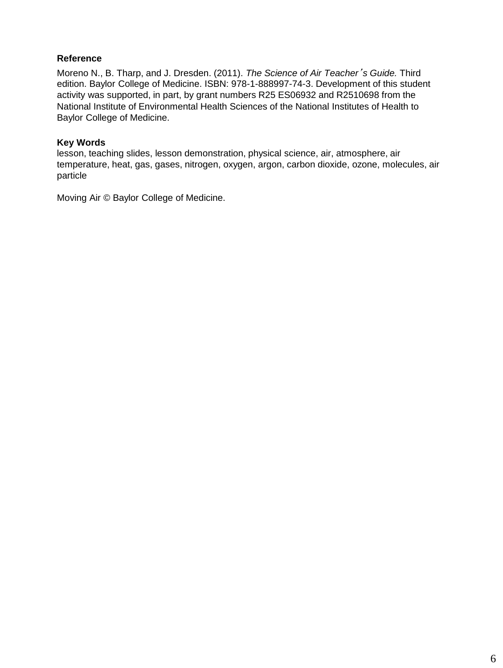Moreno N., B. Tharp, and J. Dresden. (2011). *The Science of Air Teacher*'*s Guide.* Third edition. Baylor College of Medicine. ISBN: 978-1-888997-74-3. Development of this student activity was supported, in part, by grant numbers R25 ES06932 and R2510698 from the National Institute of Environmental Health Sciences of the National Institutes of Health to Baylor College of Medicine.

# **Key Words**

lesson, teaching slides, lesson demonstration, physical science, air, atmosphere, air temperature, heat, gas, gases, nitrogen, oxygen, argon, carbon dioxide, ozone, molecules, air particle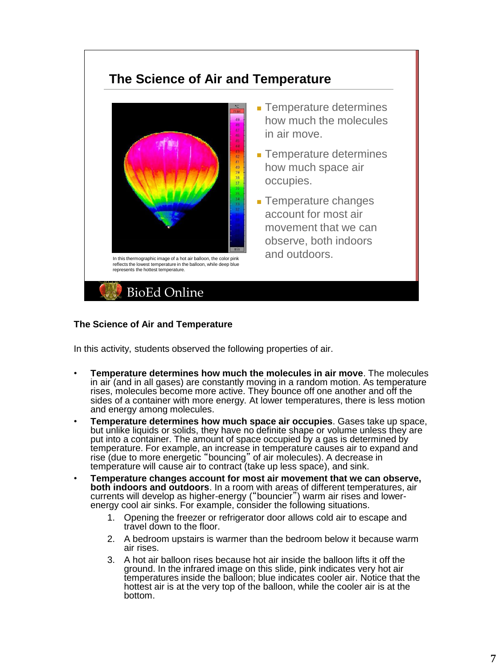# **The Science of Air and Temperature**



- Temperature determines how much the molecules in air move.
- Temperature determines how much space air occupies.
- Temperature changes account for most air movement that we can observe, both indoors

#### **The Science of Air and Temperature**

In this activity, students observed the following properties of air.

- **Temperature determines how much the molecules in air move**. The molecules in air (and in all gases) are constantly moving in a random motion. As temperature rises, molecules become more active. They bounce off one another and off the sides of a container with more energy. At lower temperatures, there is less motion and energy among molecules.
- **Temperature determines how much space air occupies**. Gases take up space, but unlike liquids or solids, they have no definite shape or volume unless they are put into a container. The amount of space occupied by a gas is determined by temperature. For example, an increase in temperature causes air to expand and rise (due to more energetic "bouncing" of air molecules). A decrease in temperature will cause air to contract (take up less space), and sink.
- **Temperature changes account for most air movement that we can observe, both indoors and outdoors**. In a room with areas of different temperatures, air currents will develop as higher-energy ("bouncier") warm air rises and lowerenergy cool air sinks. For example, consider the following situations.
	- 1. Opening the freezer or refrigerator door allows cold air to escape and travel down to the floor.
	- 2. A bedroom upstairs is warmer than the bedroom below it because warm air rises.
	- 3. A hot air balloon rises because hot air inside the balloon lifts it off the ground. In the infrared image on this slide, pink indicates very hot air temperatures inside the balloon; blue indicates cooler air. Notice that the hottest air is at the very top of the balloon, while the cooler air is at the bottom.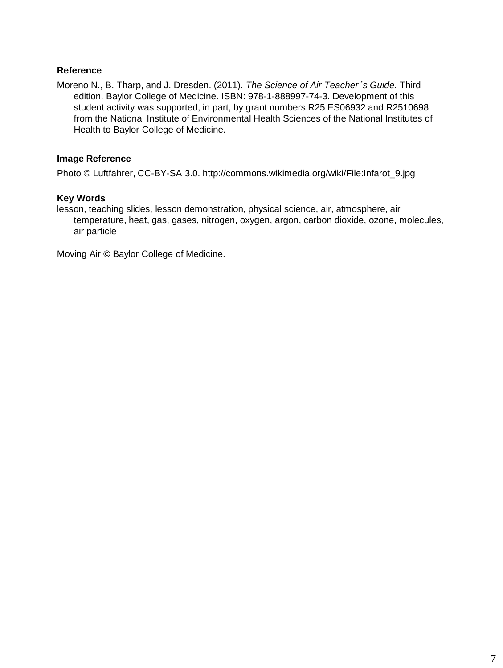Moreno N., B. Tharp, and J. Dresden. (2011). *The Science of Air Teacher*'*s Guide.* Third edition. Baylor College of Medicine. ISBN: 978-1-888997-74-3. Development of this student activity was supported, in part, by grant numbers R25 ES06932 and R2510698 from the National Institute of Environmental Health Sciences of the National Institutes of Health to Baylor College of Medicine.

# **Image Reference**

Photo © Luftfahrer, CC-BY-SA 3.0. http://commons.wikimedia.org/wiki/File:Infarot\_9.jpg

# **Key Words**

lesson, teaching slides, lesson demonstration, physical science, air, atmosphere, air temperature, heat, gas, gases, nitrogen, oxygen, argon, carbon dioxide, ozone, molecules, air particle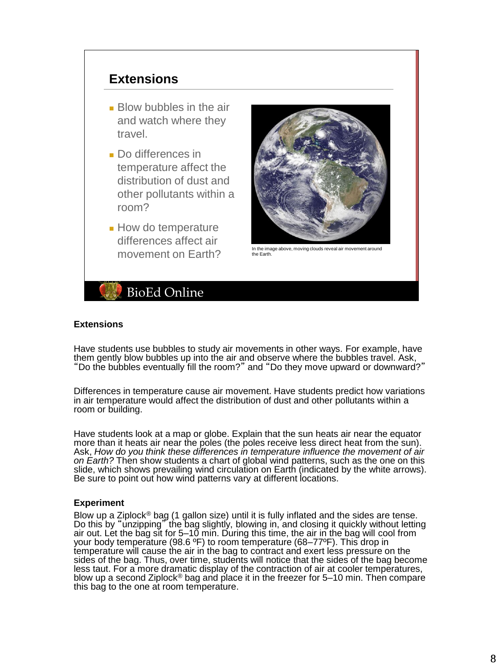# **Extensions**

- Blow bubbles in the air and watch where they travel.
- Do differences in temperature affect the distribution of dust and other pollutants within a room?
- How do temperature differences affect air



movement around the image above, moving clouds reveal air movement around<br>movement on Farth? the Earth. the Earth.



#### **Extensions**

Have students use bubbles to study air movements in other ways. For example, have them gently blow bubbles up into the air and observe where the bubbles travel. Ask, "Do the bubbles eventually fill the room?" and "Do they move upward or downward?"

Differences in temperature cause air movement. Have students predict how variations in air temperature would affect the distribution of dust and other pollutants within a room or building.

Have students look at a map or globe. Explain that the sun heats air near the equator more than it heats air near the poles (the poles receive less direct heat from the sun). Ask, *How do you think these differences in temperature influence the movement of air on Earth?* Then show students a chart of global wind patterns, such as the one on this slide, which shows prevailing wind circulation on Earth (indicated by the white arrows). Be sure to point out how wind patterns vary at different locations.

#### **Experiment**

Blow up a Ziplock<sup>®</sup> bag (1 gallon size) until it is fully inflated and the sides are tense. Do this by "unzipping" the bag slightly, blowing in, and closing it quickly without letting air out. Let the bag sit for 5–10 min. During this time, the air in the bag will cool from your body temperature (98.6 °F) to room temperature (68–77°F). This drop in temperature will cause the air in the bag to contract and exert less pressure on the sides of the bag. Thus, over time, students will notice that the sides of the bag become less taut. For a more dramatic display of the contraction of air at cooler temperatures, blow up a second Ziplock<sup>®</sup> bag and place it in the freezer for 5–10 min. Then compare this bag to the one at room temperature.